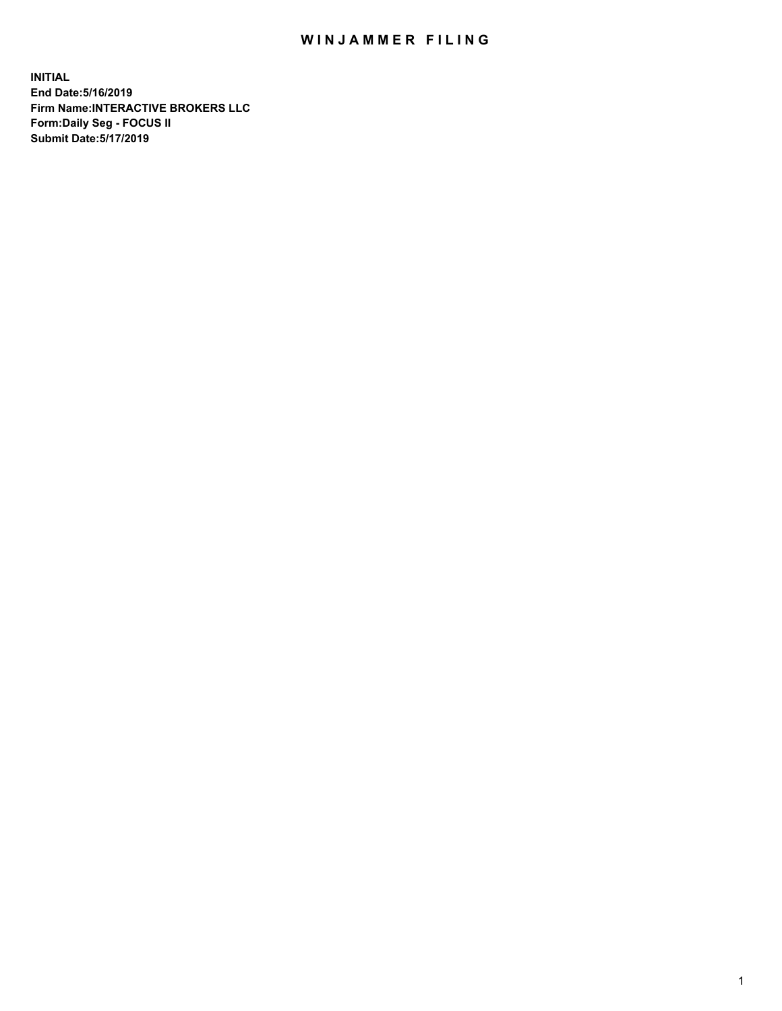## WIN JAMMER FILING

**INITIAL End Date:5/16/2019 Firm Name:INTERACTIVE BROKERS LLC Form:Daily Seg - FOCUS II Submit Date:5/17/2019**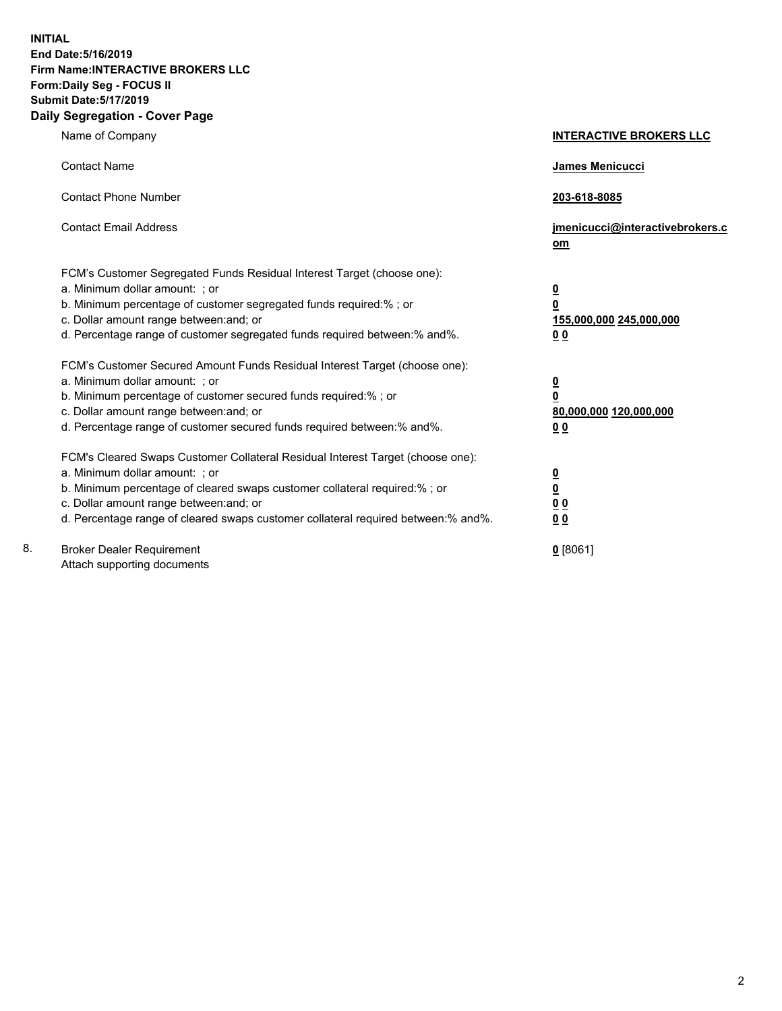**INITIAL End Date:5/16/2019 Firm Name:INTERACTIVE BROKERS LLC Form:Daily Seg - FOCUS II Submit Date:5/17/2019 Daily Segregation - Cover Page**

|    | Name of Company                                                                   | <b>INTERACTIVE BROKERS LLC</b>        |
|----|-----------------------------------------------------------------------------------|---------------------------------------|
|    | <b>Contact Name</b>                                                               | James Menicucci                       |
|    | <b>Contact Phone Number</b>                                                       | 203-618-8085                          |
|    | <b>Contact Email Address</b>                                                      | jmenicucci@interactivebrokers.c<br>om |
|    | FCM's Customer Segregated Funds Residual Interest Target (choose one):            |                                       |
|    | a. Minimum dollar amount: ; or                                                    | $\overline{\mathbf{0}}$               |
|    | b. Minimum percentage of customer segregated funds required:% ; or                | $\overline{\mathbf{0}}$               |
|    | c. Dollar amount range between: and; or                                           | 155,000,000 245,000,000               |
|    | d. Percentage range of customer segregated funds required between:% and%.         | 0 <sub>0</sub>                        |
|    | FCM's Customer Secured Amount Funds Residual Interest Target (choose one):        |                                       |
|    | a. Minimum dollar amount: ; or                                                    |                                       |
|    | b. Minimum percentage of customer secured funds required:%; or                    | $\frac{0}{0}$                         |
|    | c. Dollar amount range between: and; or                                           | 80,000,000 120,000,000                |
|    | d. Percentage range of customer secured funds required between:% and%.            | 0 <sub>0</sub>                        |
|    | FCM's Cleared Swaps Customer Collateral Residual Interest Target (choose one):    |                                       |
|    | a. Minimum dollar amount: ; or                                                    |                                       |
|    | b. Minimum percentage of cleared swaps customer collateral required:% ; or        | $\frac{0}{0}$                         |
|    | c. Dollar amount range between: and; or                                           | 0 <sub>0</sub>                        |
|    | d. Percentage range of cleared swaps customer collateral required between:% and%. | 0 <sub>0</sub>                        |
| 8. | <b>Broker Dealer Requirement</b>                                                  | $0$ [8061]                            |
|    | Attach supporting documents                                                       |                                       |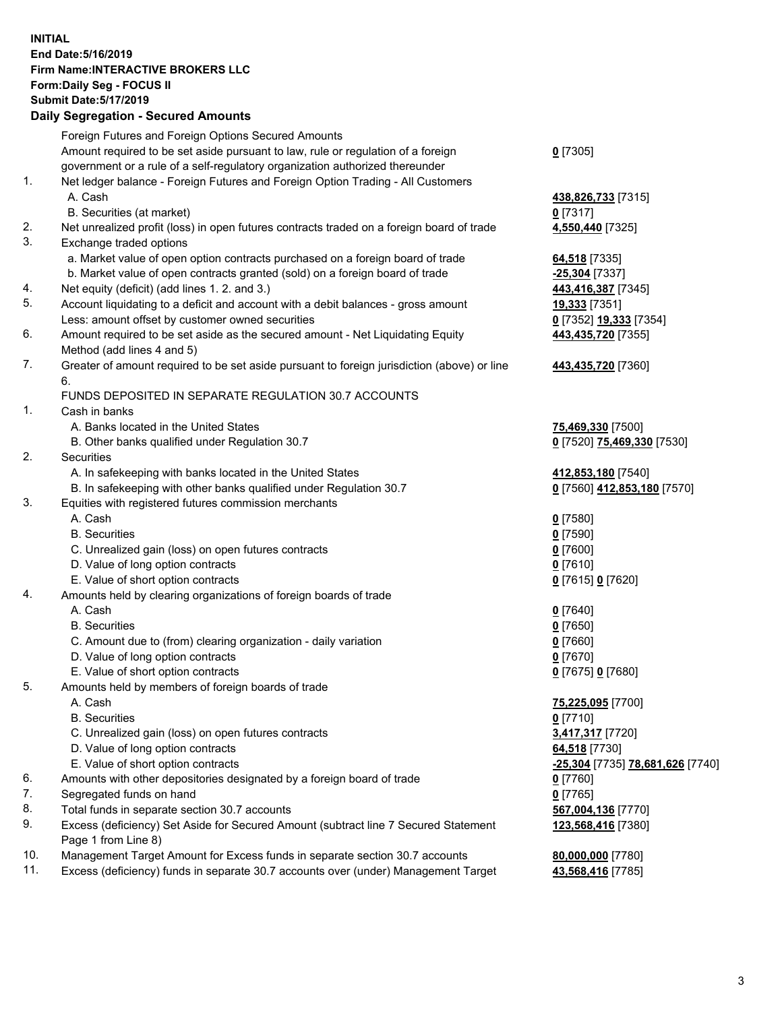## **INITIAL End Date:5/16/2019 Firm Name:INTERACTIVE BROKERS LLC Form:Daily Seg - FOCUS II Submit Date:5/17/2019 Daily Segregation - Secured Amounts**

|     | Daily Segregation - Secured Aniounts                                                                       |                                                 |
|-----|------------------------------------------------------------------------------------------------------------|-------------------------------------------------|
|     | Foreign Futures and Foreign Options Secured Amounts                                                        |                                                 |
|     | Amount required to be set aside pursuant to law, rule or regulation of a foreign                           | $0$ [7305]                                      |
|     | government or a rule of a self-regulatory organization authorized thereunder                               |                                                 |
| 1.  | Net ledger balance - Foreign Futures and Foreign Option Trading - All Customers                            |                                                 |
|     | A. Cash                                                                                                    | 438,826,733 [7315]                              |
|     | B. Securities (at market)                                                                                  | $0$ [7317]                                      |
| 2.  | Net unrealized profit (loss) in open futures contracts traded on a foreign board of trade                  | 4,550,440 [7325]                                |
| 3.  | Exchange traded options                                                                                    |                                                 |
|     | a. Market value of open option contracts purchased on a foreign board of trade                             | 64,518 [7335]                                   |
|     | b. Market value of open contracts granted (sold) on a foreign board of trade                               | -25,304 [7337]                                  |
| 4.  | Net equity (deficit) (add lines 1.2. and 3.)                                                               | 443,416,387 [7345]                              |
| 5.  | Account liquidating to a deficit and account with a debit balances - gross amount                          | 19,333 [7351]                                   |
|     | Less: amount offset by customer owned securities                                                           | 0 [7352] 19,333 [7354]                          |
| 6.  | Amount required to be set aside as the secured amount - Net Liquidating Equity                             | 443,435,720 [7355]                              |
|     | Method (add lines 4 and 5)                                                                                 |                                                 |
| 7.  | Greater of amount required to be set aside pursuant to foreign jurisdiction (above) or line                | 443,435,720 [7360]                              |
|     | 6.                                                                                                         |                                                 |
| 1.  | FUNDS DEPOSITED IN SEPARATE REGULATION 30.7 ACCOUNTS<br>Cash in banks                                      |                                                 |
|     | A. Banks located in the United States                                                                      |                                                 |
|     | B. Other banks qualified under Regulation 30.7                                                             | 75,469,330 [7500]<br>0 [7520] 75,469,330 [7530] |
| 2.  | Securities                                                                                                 |                                                 |
|     | A. In safekeeping with banks located in the United States                                                  | 412,853,180 [7540]                              |
|     | B. In safekeeping with other banks qualified under Regulation 30.7                                         | 0 [7560] 412,853,180 [7570]                     |
| 3.  | Equities with registered futures commission merchants                                                      |                                                 |
|     | A. Cash                                                                                                    | $0$ [7580]                                      |
|     | <b>B.</b> Securities                                                                                       | $0$ [7590]                                      |
|     | C. Unrealized gain (loss) on open futures contracts                                                        | $0$ [7600]                                      |
|     | D. Value of long option contracts                                                                          | $0$ [7610]                                      |
|     | E. Value of short option contracts                                                                         | 0 [7615] 0 [7620]                               |
| 4.  | Amounts held by clearing organizations of foreign boards of trade                                          |                                                 |
|     | A. Cash                                                                                                    | $0$ [7640]                                      |
|     | <b>B.</b> Securities                                                                                       | $0$ [7650]                                      |
|     | C. Amount due to (from) clearing organization - daily variation                                            | $0$ [7660]                                      |
|     | D. Value of long option contracts                                                                          | $0$ [7670]                                      |
|     | E. Value of short option contracts                                                                         | 0 [7675] 0 [7680]                               |
| 5.  | Amounts held by members of foreign boards of trade                                                         |                                                 |
|     | A. Cash                                                                                                    | 75,225,095 [7700]                               |
|     | <b>B.</b> Securities                                                                                       | $0$ [7710]                                      |
|     | C. Unrealized gain (loss) on open futures contracts                                                        | 3,417,317 [7720]                                |
|     | D. Value of long option contracts                                                                          | 64,518 [7730]                                   |
|     | E. Value of short option contracts                                                                         | -25,304 [7735] 78,681,626 [7740]                |
| 6.  | Amounts with other depositories designated by a foreign board of trade                                     | 0 [7760]                                        |
| 7.  | Segregated funds on hand                                                                                   | $0$ [7765]                                      |
| 8.  | Total funds in separate section 30.7 accounts                                                              | 567,004,136 [7770]                              |
| 9.  | Excess (deficiency) Set Aside for Secured Amount (subtract line 7 Secured Statement<br>Page 1 from Line 8) | 123,568,416 [7380]                              |
| 10. | Management Target Amount for Excess funds in separate section 30.7 accounts                                | 80,000,000 [7780]                               |
| 11. | Excess (deficiency) funds in separate 30.7 accounts over (under) Management Target                         | 43,568,416 [7785]                               |
|     |                                                                                                            |                                                 |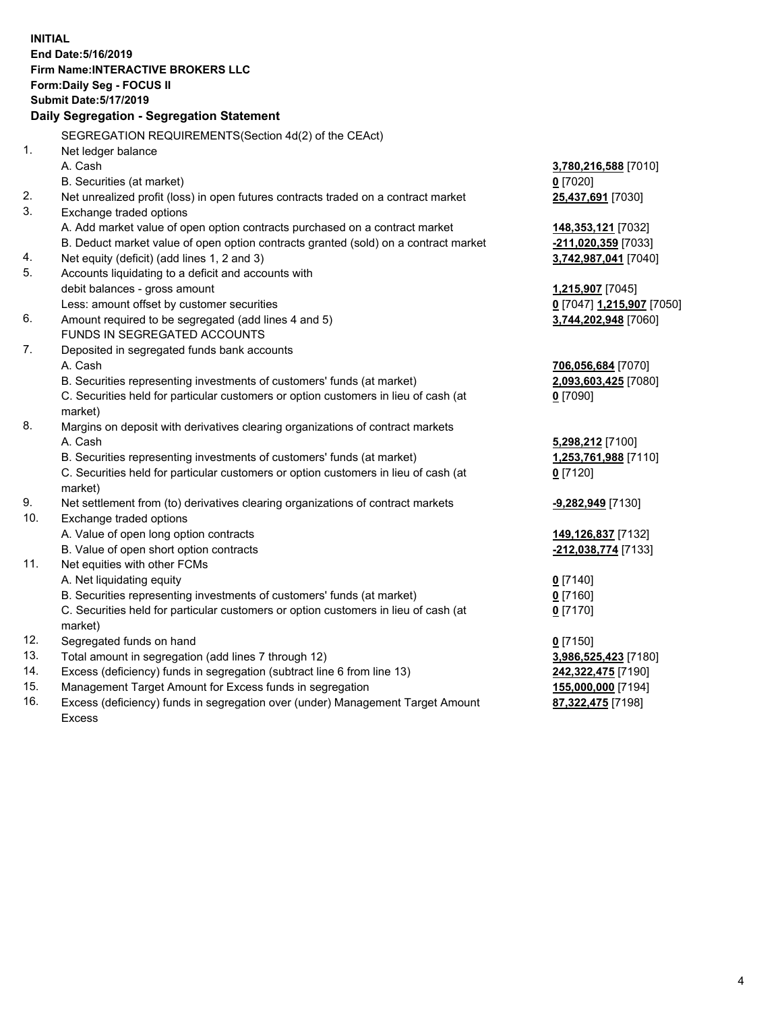**INITIAL End Date:5/16/2019 Firm Name:INTERACTIVE BROKERS LLC Form:Daily Seg - FOCUS II Submit Date:5/17/2019 Daily Segregation - Segregation Statement** SEGREGATION REQUIREMENTS(Section 4d(2) of the CEAct) 1. Net ledger balance A. Cash **3,780,216,588** [7010] B. Securities (at market) **0** [7020] 2. Net unrealized profit (loss) in open futures contracts traded on a contract market **25,437,691** [7030] 3. Exchange traded options A. Add market value of open option contracts purchased on a contract market **148,353,121** [7032] B. Deduct market value of open option contracts granted (sold) on a contract market **-211,020,359** [7033] 4. Net equity (deficit) (add lines 1, 2 and 3) **3,742,987,041** [7040] 5. Accounts liquidating to a deficit and accounts with debit balances - gross amount **1,215,907** [7045] Less: amount offset by customer securities **0** [7047] **1,215,907** [7050] 6. Amount required to be segregated (add lines 4 and 5) **3,744,202,948** [7060] FUNDS IN SEGREGATED ACCOUNTS 7. Deposited in segregated funds bank accounts A. Cash **706,056,684** [7070] B. Securities representing investments of customers' funds (at market) **2,093,603,425** [7080] C. Securities held for particular customers or option customers in lieu of cash (at market) **0** [7090] 8. Margins on deposit with derivatives clearing organizations of contract markets A. Cash **5,298,212** [7100] B. Securities representing investments of customers' funds (at market) **1,253,761,988** [7110] C. Securities held for particular customers or option customers in lieu of cash (at market) **0** [7120] 9. Net settlement from (to) derivatives clearing organizations of contract markets **-9,282,949** [7130] 10. Exchange traded options A. Value of open long option contracts **149,126,837** [7132] B. Value of open short option contracts **-212,038,774** [7133] 11. Net equities with other FCMs A. Net liquidating equity **0** [7140] B. Securities representing investments of customers' funds (at market) **0** [7160] C. Securities held for particular customers or option customers in lieu of cash (at market) **0** [7170] 12. Segregated funds on hand **0** [7150] 13. Total amount in segregation (add lines 7 through 12) **3,986,525,423** [7180] 14. Excess (deficiency) funds in segregation (subtract line 6 from line 13) **242,322,475** [7190] 15. Management Target Amount for Excess funds in segregation **155,000,000** [7194]

16. Excess (deficiency) funds in segregation over (under) Management Target Amount Excess

**87,322,475** [7198]